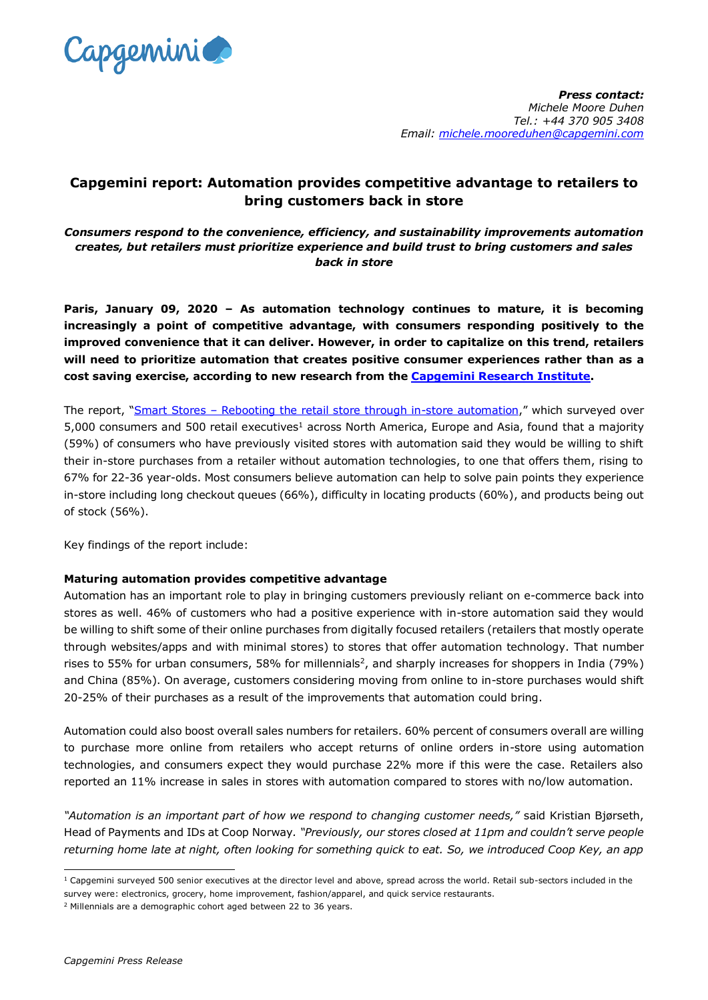

# **Capgemini report: Automation provides competitive advantage to retailers to bring customers back in store**

*Consumers respond to the convenience, efficiency, and sustainability improvements automation creates, but retailers must prioritize experience and build trust to bring customers and sales back in store*

**Paris, January 09, 2020 – As automation technology continues to mature, it is becoming increasingly a point of competitive advantage, with consumers responding positively to the improved convenience that it can deliver. However, in order to capitalize on this trend, retailers will need to prioritize automation that creates positive consumer experiences rather than as a cost saving exercise, according to new research from the Capgemini [Research Institute.](https://www.capgemini.com/in-en/research-institute/)**

The report, "Smart Stores – [Rebooting the retail store through in-store automation,](https://www.capgemini.com/research/automation-in-retail-stores/?utm_source=pr&utm_medium=referral&utm_content=cprd_none_link_pressrelease_none&utm_campaign=CPRD_cri_automation-retail)" which surveyed over 5,000 consumers and 500 retail executives<sup>1</sup> across North America, Europe and Asia, found that a majority (59%) of consumers who have previously visited stores with automation said they would be willing to shift their in-store purchases from a retailer without automation technologies, to one that offers them, rising to 67% for 22-36 year-olds. Most consumers believe automation can help to solve pain points they experience in-store including long checkout queues (66%), difficulty in locating products (60%), and products being out of stock (56%).

Key findings of the report include:

# **Maturing automation provides competitive advantage**

Automation has an important role to play in bringing customers previously reliant on e-commerce back into stores as well. 46% of customers who had a positive experience with in-store automation said they would be willing to shift some of their online purchases from digitally focused retailers (retailers that mostly operate through websites/apps and with minimal stores) to stores that offer automation technology. That number rises to 55% for urban consumers, 58% for millennials<sup>2</sup>, and sharply increases for shoppers in India (79%) and China (85%). On average, customers considering moving from online to in-store purchases would shift 20-25% of their purchases as a result of the improvements that automation could bring.

Automation could also boost overall sales numbers for retailers. 60% percent of consumers overall are willing to purchase more online from retailers who accept returns of online orders in-store using automation technologies, and consumers expect they would purchase 22% more if this were the case. Retailers also reported an 11% increase in sales in stores with automation compared to stores with no/low automation.

*"Automation is an important part of how we respond to changing customer needs,"* said Kristian Bjørseth, Head of Payments and IDs at Coop Norway*. "Previously, our stores closed at 11pm and couldn't serve people returning home late at night, often looking for something quick to eat. So, we introduced Coop Key, an app* 

l  $1$  Capgemini surveyed 500 senior executives at the director level and above, spread across the world. Retail sub-sectors included in the survey were: electronics, grocery, home improvement, fashion/apparel, and quick service restaurants.

 $2$  Millennials are a demographic cohort aged between 22 to 36 years.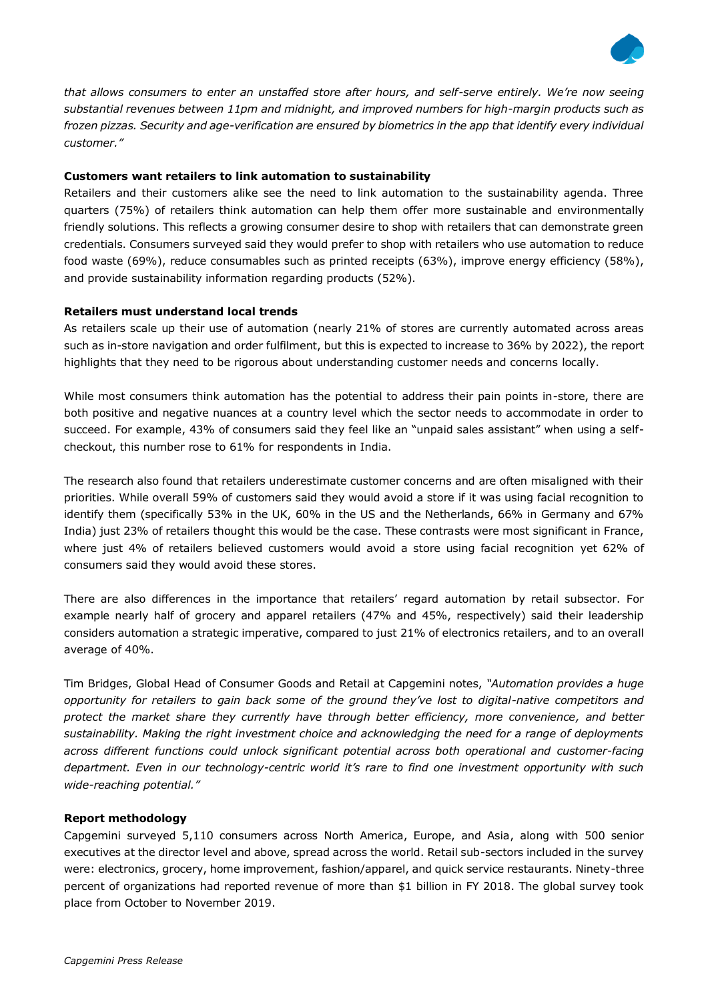

*that allows consumers to enter an unstaffed store after hours, and self-serve entirely. We're now seeing substantial revenues between 11pm and midnight, and improved numbers for high-margin products such as frozen pizzas. Security and age-verification are ensured by biometrics in the app that identify every individual customer."* 

## **Customers want retailers to link automation to sustainability**

Retailers and their customers alike see the need to link automation to the sustainability agenda. Three quarters (75%) of retailers think automation can help them offer more sustainable and environmentally friendly solutions. This reflects a growing consumer desire to shop with retailers that can demonstrate green credentials. Consumers surveyed said they would prefer to shop with retailers who use automation to reduce food waste (69%), reduce consumables such as printed receipts (63%), improve energy efficiency (58%), and provide sustainability information regarding products (52%).

### **Retailers must understand local trends**

As retailers scale up their use of automation (nearly 21% of stores are currently automated across areas such as in-store navigation and order fulfilment, but this is expected to increase to 36% by 2022), the report highlights that they need to be rigorous about understanding customer needs and concerns locally.

While most consumers think automation has the potential to address their pain points in-store, there are both positive and negative nuances at a country level which the sector needs to accommodate in order to succeed. For example, 43% of consumers said they feel like an "unpaid sales assistant" when using a selfcheckout, this number rose to 61% for respondents in India.

The research also found that retailers underestimate customer concerns and are often misaligned with their priorities. While overall 59% of customers said they would avoid a store if it was using facial recognition to identify them (specifically 53% in the UK, 60% in the US and the Netherlands, 66% in Germany and 67% India) just 23% of retailers thought this would be the case. These contrasts were most significant in France, where just 4% of retailers believed customers would avoid a store using facial recognition yet 62% of consumers said they would avoid these stores.

There are also differences in the importance that retailers' regard automation by retail subsector. For example nearly half of grocery and apparel retailers (47% and 45%, respectively) said their leadership considers automation a strategic imperative, compared to just 21% of electronics retailers, and to an overall average of 40%.

Tim Bridges, Global Head of Consumer Goods and Retail at Capgemini notes, *"Automation provides a huge opportunity for retailers to gain back some of the ground they've lost to digital-native competitors and protect the market share they currently have through better efficiency, more convenience, and better sustainability. Making the right investment choice and acknowledging the need for a range of deployments across different functions could unlock significant potential across both operational and customer-facing department. Even in our technology-centric world it's rare to find one investment opportunity with such wide-reaching potential."*

# **Report methodology**

Capgemini surveyed 5,110 consumers across North America, Europe, and Asia, along with 500 senior executives at the director level and above, spread across the world. Retail sub-sectors included in the survey were: electronics, grocery, home improvement, fashion/apparel, and quick service restaurants. Ninety-three percent of organizations had reported revenue of more than \$1 billion in FY 2018. The global survey took place from October to November 2019.